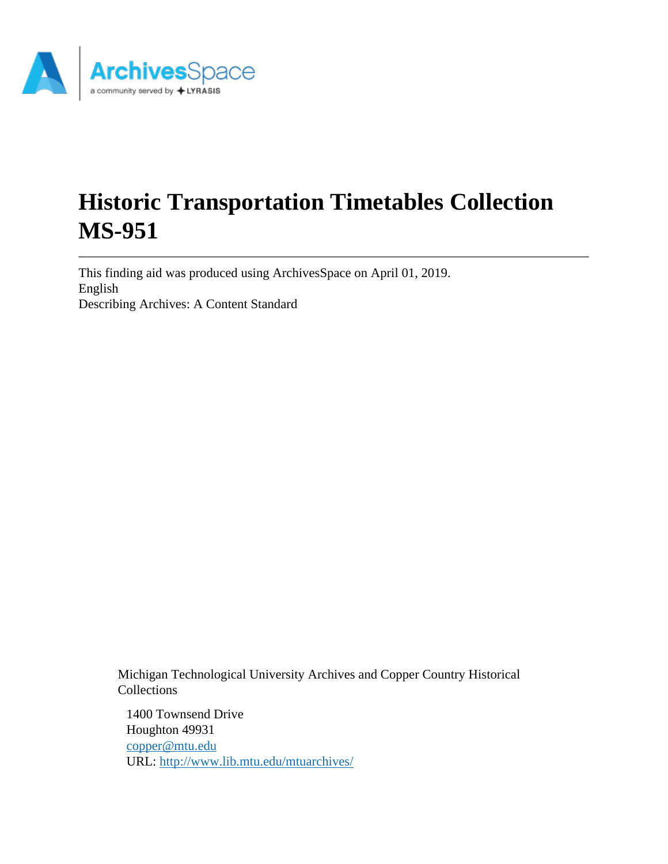

# **Historic Transportation Timetables Collection MS-951**

This finding aid was produced using ArchivesSpace on April 01, 2019. English Describing Archives: A Content Standard

> Michigan Technological University Archives and Copper Country Historical Collections

1400 Townsend Drive Houghton 49931 [copper@mtu.edu](mailto:copper@mtu.edu) URL:<http://www.lib.mtu.edu/mtuarchives/>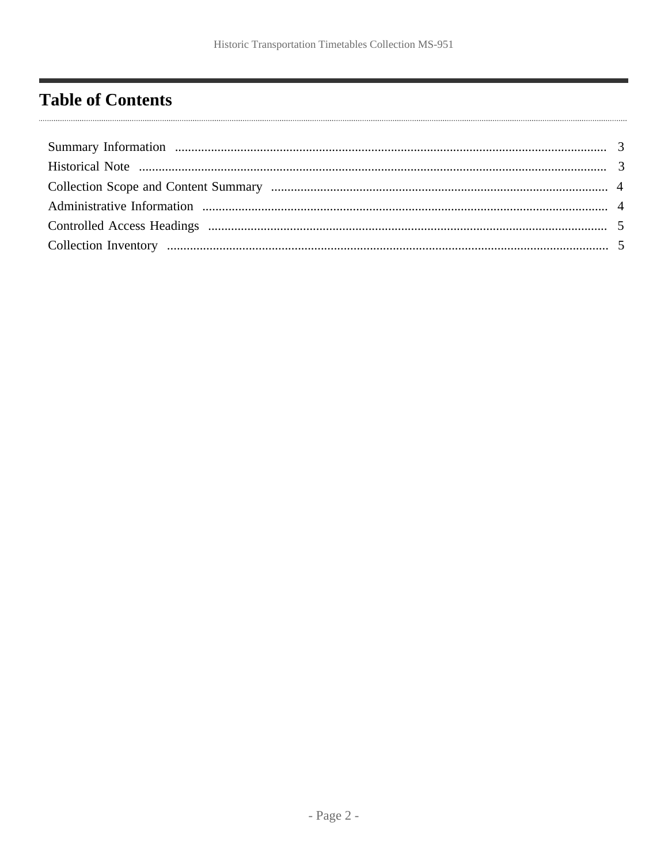# <span id="page-1-0"></span>**Table of Contents**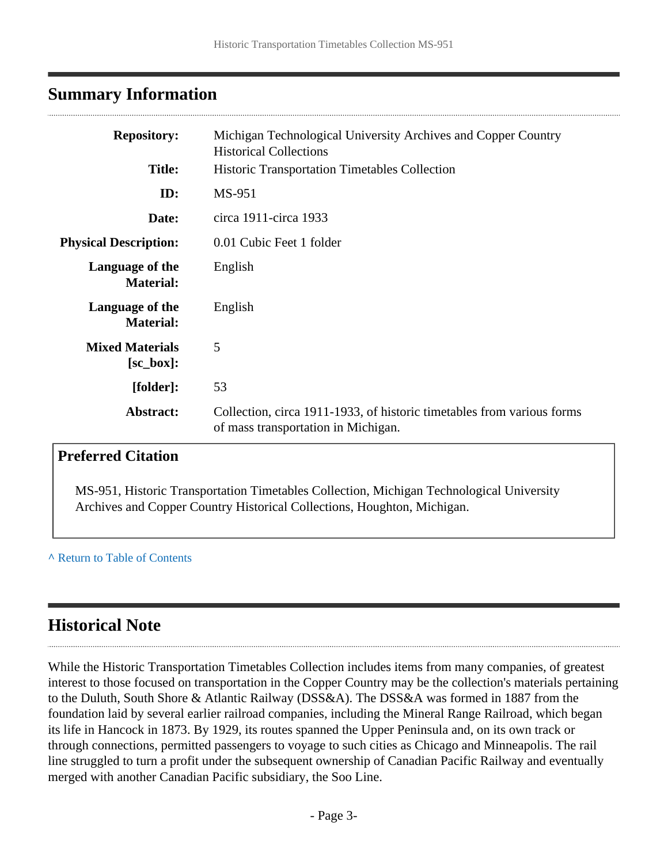# <span id="page-2-0"></span>**Summary Information**

| <b>Repository:</b>                      | Michigan Technological University Archives and Copper Country<br><b>Historical Collections</b>                |  |
|-----------------------------------------|---------------------------------------------------------------------------------------------------------------|--|
| <b>Title:</b>                           | <b>Historic Transportation Timetables Collection</b>                                                          |  |
| ID:                                     | MS-951                                                                                                        |  |
| Date:                                   | circa 1911-circa 1933                                                                                         |  |
| <b>Physical Description:</b>            | 0.01 Cubic Feet 1 folder                                                                                      |  |
| Language of the<br><b>Material:</b>     | English                                                                                                       |  |
| Language of the<br><b>Material:</b>     | English                                                                                                       |  |
| <b>Mixed Materials</b><br>$[sc\_box]$ : | 5                                                                                                             |  |
| [folder]:                               | 53                                                                                                            |  |
| Abstract:                               | Collection, circa 1911-1933, of historic timetables from various forms<br>of mass transportation in Michigan. |  |

# **Preferred Citation**

MS-951, Historic Transportation Timetables Collection, Michigan Technological University Archives and Copper Country Historical Collections, Houghton, Michigan.

#### **^** [Return to Table of Contents](#page-1-0)

# <span id="page-2-1"></span>**Historical Note**

While the Historic Transportation Timetables Collection includes items from many companies, of greatest interest to those focused on transportation in the Copper Country may be the collection's materials pertaining to the Duluth, South Shore & Atlantic Railway (DSS&A). The DSS&A was formed in 1887 from the foundation laid by several earlier railroad companies, including the Mineral Range Railroad, which began its life in Hancock in 1873. By 1929, its routes spanned the Upper Peninsula and, on its own track or through connections, permitted passengers to voyage to such cities as Chicago and Minneapolis. The rail line struggled to turn a profit under the subsequent ownership of Canadian Pacific Railway and eventually merged with another Canadian Pacific subsidiary, the Soo Line.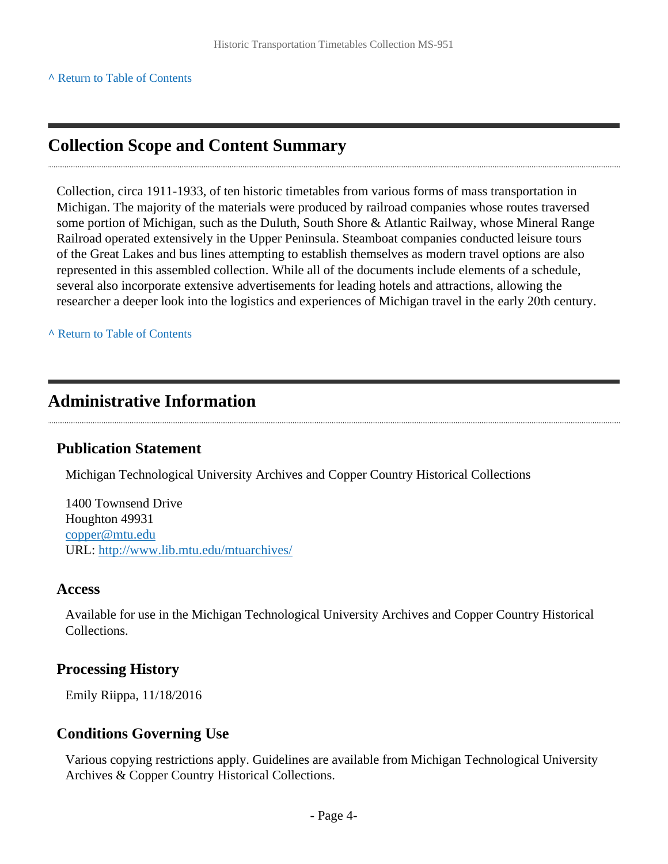# <span id="page-3-0"></span>**Collection Scope and Content Summary**

Collection, circa 1911-1933, of ten historic timetables from various forms of mass transportation in Michigan. The majority of the materials were produced by railroad companies whose routes traversed some portion of Michigan, such as the Duluth, South Shore & Atlantic Railway, whose Mineral Range Railroad operated extensively in the Upper Peninsula. Steamboat companies conducted leisure tours of the Great Lakes and bus lines attempting to establish themselves as modern travel options are also represented in this assembled collection. While all of the documents include elements of a schedule, several also incorporate extensive advertisements for leading hotels and attractions, allowing the researcher a deeper look into the logistics and experiences of Michigan travel in the early 20th century.

**^** [Return to Table of Contents](#page-1-0)

### <span id="page-3-1"></span>**Administrative Information**

#### **Publication Statement**

Michigan Technological University Archives and Copper Country Historical Collections

1400 Townsend Drive Houghton 49931 [copper@mtu.edu](mailto:copper@mtu.edu) URL:<http://www.lib.mtu.edu/mtuarchives/>

#### **Access**

Available for use in the Michigan Technological University Archives and Copper Country Historical Collections.

#### **Processing History**

Emily Riippa, 11/18/2016

#### **Conditions Governing Use**

Various copying restrictions apply. Guidelines are available from Michigan Technological University Archives & Copper Country Historical Collections.